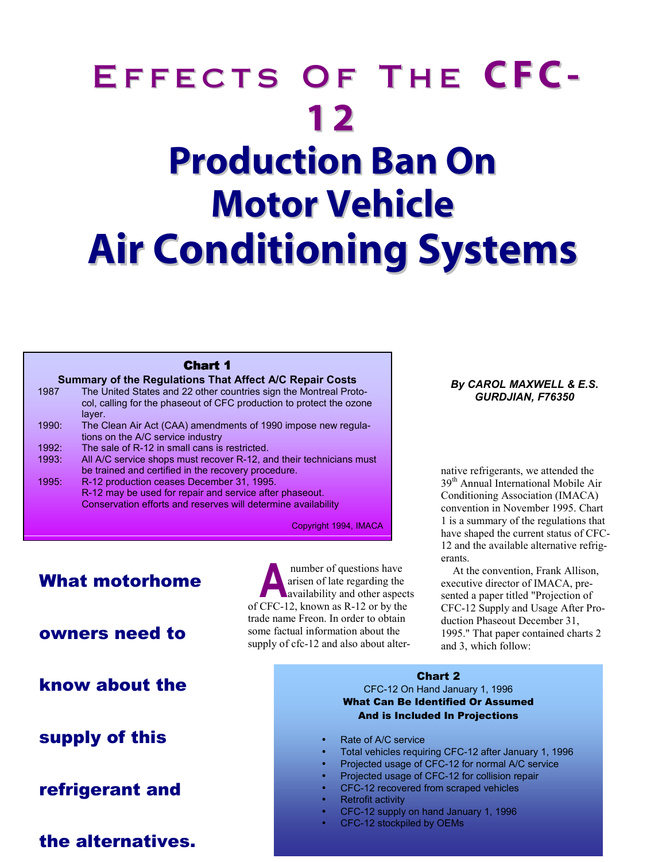# EFFECTS OF THE CFC-**12 Production Ban On Motor Vehicle Air Conditioning Systems**

#### Chart 1

#### **Summary of the Regulations That Affect A/C Repair Costs**

- 1987 The United States and 22 other countries sign the Montreal Protocol, calling for the phaseout of CFC production to protect the ozone layer.
- 1990: The Clean Air Act (CAA) amendments of 1990 impose new regulations on the A/C service industry
- 1992: The sale of R-12 in small cans is restricted.
- 1993: All A/C service shops must recover R-12, and their technicians must be trained and certified in the recovery procedure.
- 1995: R-12 production ceases December 31, 1995. R-12 may be used for repair and service after phaseout. Conservation efforts and reserves will determine availability

Copyright 1994, IMACA

# What motorhome

## owners need to

know about the

# supply of this

## refrigerant and

the alternatives.

 number of questions have arisen of late regarding the availability and other aspects number of questions have<br>arisen of late regarding the<br>availability and other aspec<br>of CFC-12, known as R-12 or by the trade name Freon. In order to obtain some factual information about the supply of cfc-12 and also about alter-

#### *By CAROL MAXWELL & E.S. GURDJIAN, F76350*

native refrigerants, we attended the 39<sup>th</sup> Annual International Mobile Air Conditioning Association (IMACA) convention in November 1995. Chart 1 is a summary of the regulations that have shaped the current status of CFC-12 and the available alternative refrigerants.

At the convention, Frank Allison, executive director of IMACA, presented a paper titled "Projection of CFC-12 Supply and Usage After Production Phaseout December 31, 1995." That paper contained charts 2 and 3, which follow:

### Chart 2 CFC-12 On Hand January 1, 1996

#### What Can Be Identified Or Assumed And is Included In Projections

- Rate of A/C service
- Total vehicles requiring CFC-12 after January 1, 1996
- Projected usage of CFC-12 for normal A/C service
- Projected usage of CFC-12 for collision repair
- CFC-12 recovered from scraped vehicles
	- Retrofit activity
	- CFC-12 supply on hand January 1, 1996
- CFC-12 stockpiled by OEMs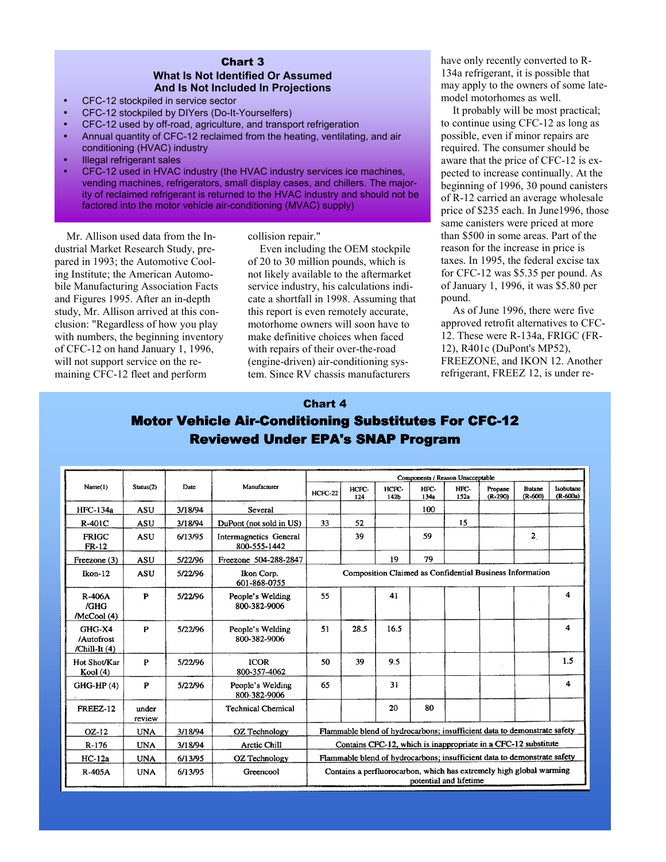#### Chart 3 **What Is Not Identified Or Assumed And Is Not Included In Projections**

- CFC-12 stockpiled in service sector
- CFC-12 stockpiled by DIYers (Do-It-Yourselfers)
- CFC-12 used by off-road, agriculture, and transport refrigeration
- Annual quantity of CFC-12 reclaimed from the heating, ventilating, and air conditioning (HVAC) industry
- Illegal refrigerant sales
- CFC-12 used in HVAC industry (the HVAC industry services ice machines, vending machines, refrigerators, small display cases, and chillers. The majority of reclaimed refrigerant is returned to the HVAC industry and should not be factored into the motor vehicle air-conditioning (MVAC) supply)

Mr. Allison used data from the Industrial Market Research Study, prepared in 1993; the Automotive Cooling Institute; the American Automobile Manufacturing Association Facts and Figures 1995. After an in-depth study, Mr. Allison arrived at this conclusion: "Regardless of how you play with numbers, the beginning inventory of CFC-12 on hand January 1, 1996, will not support service on the remaining CFC-12 fleet and perform

collision repair."

Even including the OEM stockpile of 20 to 30 million pounds, which is not likely available to the aftermarket service industry, his calculations indicate a shortfall in 1998. Assuming that this report is even remotely accurate, motorhome owners will soon have to make definitive choices when faced with repairs of their over-the-road (engine-driven) air-conditioning system. Since RV chassis manufacturers

have only recently converted to R-134a refrigerant, it is possible that may apply to the owners of some latemodel motorhomes as well.

It probably will be most practical; to continue using CFC-12 as long as possible, even if minor repairs are required. The consumer should be aware that the price of CFC-12 is expected to increase continually. At the beginning of 1996, 30 pound canisters of R-12 carried an average wholesale price of \$235 each. In June1996, those same canisters were priced at more than \$500 in some areas. Part of the reason for the increase in price is taxes. In 1995, the federal excise tax for CFC-12 was \$5.35 per pound. As of January 1, 1996, it was \$5.80 per pound.

As of June 1996, there were five approved retrofit alternatives to CFC-12. These were R-134a, FRIGC (FR-12), R401c (DuPont's MP52), FREEZONE, and IKON 12. Another refrigerant, FREEZ 12, is under re-

#### Chart 4

| Name(1)                                 | Status(2)       | Date    | Manufacturer                           | Components / Reason Unacceptable                                                              |              |               |              |              |                      |                              |                       |
|-----------------------------------------|-----------------|---------|----------------------------------------|-----------------------------------------------------------------------------------------------|--------------|---------------|--------------|--------------|----------------------|------------------------------|-----------------------|
|                                         |                 |         |                                        | $HCFC-22$                                                                                     | HCFC-<br>124 | HCPC-<br>142b | HFC-<br>134a | HFC-<br>152a | Propane<br>$(R-290)$ | <b>Butane</b><br>$(R - 600)$ | Isobutane<br>(R-600a) |
| <b>HFC-134a</b>                         | <b>ASU</b>      | 3/18/94 | Several                                |                                                                                               |              |               | 100          |              |                      |                              |                       |
| R-401C                                  | <b>ASU</b>      | 3/18/94 | DuPont (not sold in US)                | 33                                                                                            | 52           |               |              | 15           |                      |                              |                       |
| <b>FRIGC</b><br><b>FR-12</b>            | <b>ASU</b>      | 6/13/95 | Intermagnetics General<br>800-555-1442 |                                                                                               | 39           |               | 59           |              |                      | $\overline{2}$               |                       |
| Freezone (3)                            | <b>ASU</b>      | 5/22/96 | Freezone 504-288-2847                  |                                                                                               |              | 19            | 79           |              |                      |                              |                       |
| Ikon-12                                 | <b>ASU</b>      | 5/22/96 | Ikon Corp.<br>601-868-0755             | Composition Claimed as Confidential Business Information                                      |              |               |              |              |                      |                              |                       |
| <b>R-406A</b><br>/GHG<br>/McCool (4)    | P               | 5/22/96 | People's Welding<br>800-382-9006       | 55                                                                                            |              | 41            |              |              |                      |                              | 4                     |
| GHG-X4<br>/Autofrost<br>/Chill-It $(4)$ | P               | 5/22/96 | People's Welding<br>800-382-9006       | 51                                                                                            | 28.5         | 16.5          |              |              |                      |                              | 4                     |
| Hot Shot/Kar<br>Kool (4)                | P               | 5/22/96 | <b>ICOR</b><br>800-357-4062            | 50                                                                                            | 39           | 9.5           |              |              |                      |                              | 1.5                   |
| $GHG-HP(4)$                             | P               | 5/22/96 | People's Welding<br>800-382-9006       | 65                                                                                            |              | 31            |              |              |                      |                              | 4                     |
| <b>FREEZ-12</b>                         | under<br>review |         | <b>Technical Chemical</b>              |                                                                                               |              | 20            | 80           |              |                      |                              |                       |
| OZ-12                                   | <b>UNA</b>      | 3/18/94 | OZ Technology                          | Flammable blend of hydrocarbons; insufficient data to demonstrate safety                      |              |               |              |              |                      |                              |                       |
| $R-176$                                 | <b>UNA</b>      | 3/18/94 | Arctic Chill                           | Contains CFC-12, which is inappropriate in a CFC-12 substitute                                |              |               |              |              |                      |                              |                       |
| $HC-12a$                                | <b>UNA</b>      | 6/13/95 | OZ Technology                          | Flammable blend of hydrocarbons; insufficient data to demonstrate safety                      |              |               |              |              |                      |                              |                       |
| R-405A                                  | <b>UNA</b>      | 6/13/95 | Greencool                              | Contains a perfluorocarbon, which has extremely high global warming<br>potential and lifetime |              |               |              |              |                      |                              |                       |

## **Motor Vehicle Air-Conditioning Substitutes For CFC-12** Reviewed Under EPA's SNAP Program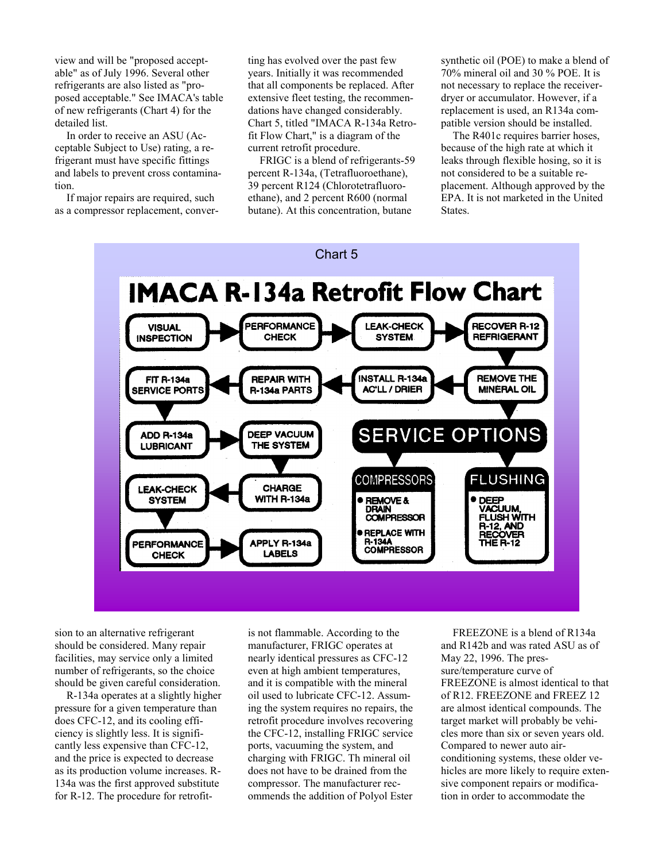view and will be "proposed acceptable" as of July 1996. Several other refrigerants are also listed as "proposed acceptable." See IMACA's table of new refrigerants (Chart 4) for the detailed list.

In order to receive an ASU (Acceptable Subject to Use) rating, a refrigerant must have specific fittings and labels to prevent cross contamination.

If major repairs are required, such as a compressor replacement, conver-

ting has evolved over the past few years. Initially it was recommended that all components be replaced. After extensive fleet testing, the recommendations have changed considerably. Chart 5, titled "IMACA R-134a Retrofit Flow Chart," is a diagram of the current retrofit procedure.

FRIGC is a blend of refrigerants-59 percent R-134a, (Tetrafluoroethane), 39 percent R124 (Chlorotetrafluoroethane), and 2 percent R600 (normal butane). At this concentration, butane

synthetic oil (POE) to make a blend of 70% mineral oil and 30 % POE. It is not necessary to replace the receiverdryer or accumulator. However, if a replacement is used, an R134a compatible version should be installed.

The R401c requires barrier hoses, because of the high rate at which it leaks through flexible hosing, so it is not considered to be a suitable replacement. Although approved by the EPA. It is not marketed in the United States.



sion to an alternative refrigerant should be considered. Many repair facilities, may service only a limited number of refrigerants, so the choice should be given careful consideration.

R-134a operates at a slightly higher pressure for a given temperature than does CFC-12, and its cooling efficiency is slightly less. It is significantly less expensive than CFC-12, and the price is expected to decrease as its production volume increases. R-134a was the first approved substitute for R-12. The procedure for retrofit-

is not flammable. According to the manufacturer, FRIGC operates at nearly identical pressures as CFC-12 even at high ambient temperatures, and it is compatible with the mineral oil used to lubricate CFC-12. Assuming the system requires no repairs, the retrofit procedure involves recovering the CFC-12, installing FRIGC service ports, vacuuming the system, and charging with FRIGC. Th mineral oil does not have to be drained from the compressor. The manufacturer recommends the addition of Polyol Ester

FREEZONE is a blend of R134a and R142b and was rated ASU as of May 22, 1996. The pressure/temperature curve of FREEZONE is almost identical to that of R12. FREEZONE and FREEZ 12 are almost identical compounds. The target market will probably be vehicles more than six or seven years old. Compared to newer auto airconditioning systems, these older vehicles are more likely to require extensive component repairs or modification in order to accommodate the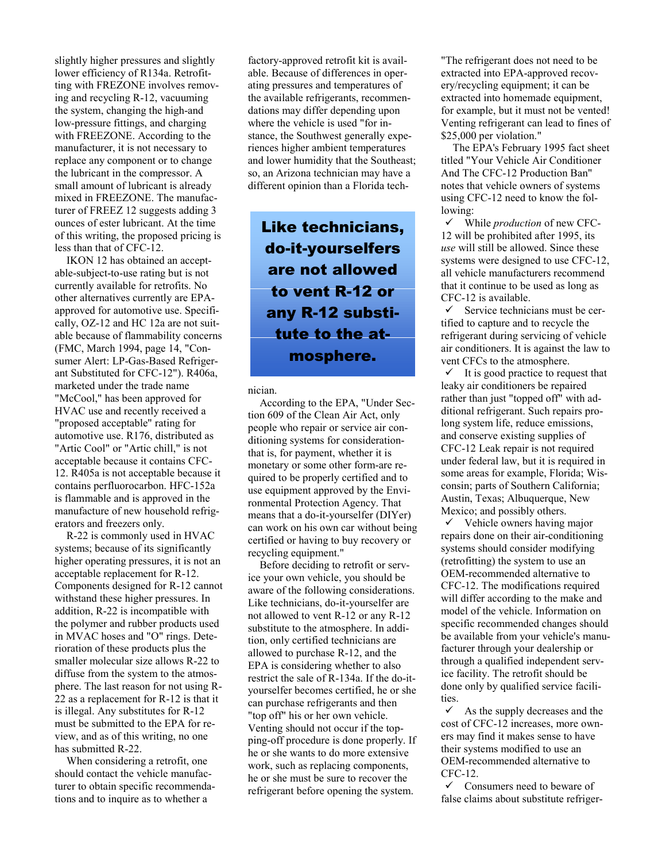slightly higher pressures and slightly lower efficiency of R134a. Retrofitting with FREZONE involves removing and recycling R-12, vacuuming the system, changing the high-and low-pressure fittings, and charging with FREEZONE. According to the manufacturer, it is not necessary to replace any component or to change the lubricant in the compressor. A small amount of lubricant is already mixed in FREEZONE. The manufacturer of FREEZ 12 suggests adding 3 ounces of ester lubricant. At the time of this writing, the proposed pricing is less than that of CFC-12.

IKON 12 has obtained an acceptable-subject-to-use rating but is not currently available for retrofits. No other alternatives currently are EPAapproved for automotive use. Specifically, OZ-12 and HC 12a are not suitable because of flammability concerns (FMC, March 1994, page 14, "Consumer Alert: LP-Gas-Based Refrigerant Substituted for CFC-12"). R406a, marketed under the trade name "McCool," has been approved for HVAC use and recently received a "proposed acceptable" rating for automotive use. R176, distributed as "Artic Cool" or "Artic chill," is not acceptable because it contains CFC-12. R405a is not acceptable because it contains perfluorocarbon. HFC-152a is flammable and is approved in the manufacture of new household refrigerators and freezers only.

R-22 is commonly used in HVAC systems; because of its significantly higher operating pressures, it is not an acceptable replacement for R-12. Components designed for R-12 cannot withstand these higher pressures. In addition, R-22 is incompatible with the polymer and rubber products used in MVAC hoses and "O" rings. Deterioration of these products plus the smaller molecular size allows R-22 to diffuse from the system to the atmosphere. The last reason for not using R-22 as a replacement for R-12 is that it is illegal. Any substitutes for R-12 must be submitted to the EPA for review, and as of this writing, no one has submitted R-22.

When considering a retrofit, one should contact the vehicle manufacturer to obtain specific recommendations and to inquire as to whether a

factory-approved retrofit kit is available. Because of differences in operating pressures and temperatures of the available refrigerants, recommendations may differ depending upon where the vehicle is used "for instance, the Southwest generally experiences higher ambient temperatures and lower humidity that the Southeast; so, an Arizona technician may have a different opinion than a Florida tech-

Like technicians, do-it-yourselfers are not allowed to vent R-12 or any R-12 substitute to the atmosphere.

nician.

According to the EPA, "Under Section 609 of the Clean Air Act, only people who repair or service air conditioning systems for considerationthat is, for payment, whether it is monetary or some other form-are required to be properly certified and to use equipment approved by the Environmental Protection Agency. That means that a do-it-yourselfer (DIYer) can work on his own car without being certified or having to buy recovery or recycling equipment."

Before deciding to retrofit or service your own vehicle, you should be aware of the following considerations. Like technicians, do-it-yourselfer are not allowed to vent R-12 or any R-12 substitute to the atmosphere. In addition, only certified technicians are allowed to purchase R-12, and the EPA is considering whether to also restrict the sale of R-134a. If the do-ityourselfer becomes certified, he or she can purchase refrigerants and then "top off" his or her own vehicle. Venting should not occur if the topping-off procedure is done properly. If he or she wants to do more extensive work, such as replacing components, he or she must be sure to recover the refrigerant before opening the system.

"The refrigerant does not need to be extracted into EPA-approved recovery/recycling equipment; it can be extracted into homemade equipment. for example, but it must not be vented! Venting refrigerant can lead to fines of \$25,000 per violation."

The EPA's February 1995 fact sheet titled "Your Vehicle Air Conditioner And The CFC-12 Production Ban" notes that vehicle owners of systems using CFC-12 need to know the following:

9 While *production* of new CFC-12 will be prohibited after 1995, its *use* will still be allowed. Since these systems were designed to use CFC-12, all vehicle manufacturers recommend that it continue to be used as long as CFC-12 is available.

 $\checkmark$  Service technicians must be certified to capture and to recycle the refrigerant during servicing of vehicle air conditioners. It is against the law to vent CFCs to the atmosphere.

 $\checkmark$  It is good practice to request that leaky air conditioners be repaired rather than just "topped off" with additional refrigerant. Such repairs prolong system life, reduce emissions, and conserve existing supplies of CFC-12 Leak repair is not required under federal law, but it is required in some areas for example, Florida; Wisconsin; parts of Southern California; Austin, Texas; Albuquerque, New Mexico; and possibly others.

 $\checkmark$  Vehicle owners having major repairs done on their air-conditioning systems should consider modifying (retrofitting) the system to use an OEM-recommended alternative to CFC-12. The modifications required will differ according to the make and model of the vehicle. Information on specific recommended changes should be available from your vehicle's manufacturer through your dealership or through a qualified independent service facility. The retrofit should be done only by qualified service facilities.

 $\checkmark$  As the supply decreases and the cost of CFC-12 increases, more owners may find it makes sense to have their systems modified to use an OEM-recommended alternative to CFC-12.

 $\checkmark$  Consumers need to beware of false claims about substitute refriger-